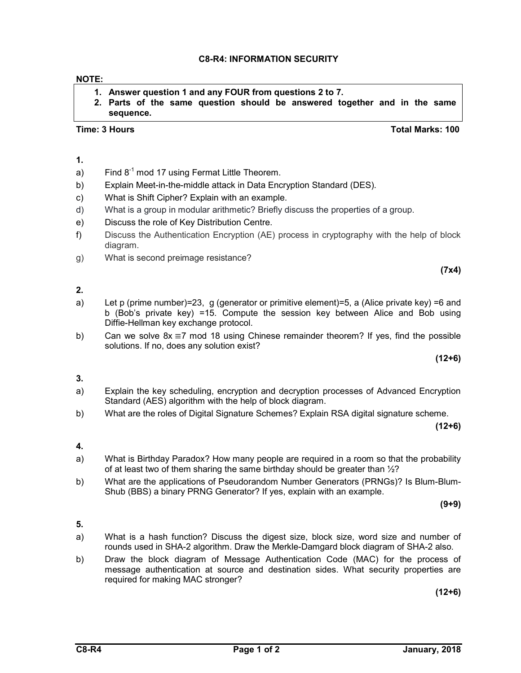# C8-R4: INFORMATION SECURITY

## NOTE:

1. Answer question 1 and any FOUR from questions 2 to 7.

2. Parts of the same question should be answered together and in the same sequence.

#### 1.

- a) Find  $8^{-1}$  mod 17 using Fermat Little Theorem.
- b) Explain Meet-in-the-middle attack in Data Encryption Standard (DES).
- c) What is Shift Cipher? Explain with an example.
- d) What is a group in modular arithmetic? Briefly discuss the properties of a group.
- e) Discuss the role of Key Distribution Centre.
- f) Discuss the Authentication Encryption (AE) process in cryptography with the help of block diagram.
- g) What is second preimage resistance?

# 2.

- a) Let p (prime number)=23, g (generator or primitive element)=5, a (Alice private key) =6 and b (Bob's private key) =15. Compute the session key between Alice and Bob using Diffie-Hellman key exchange protocol.
- b) Can we solve  $8x \equiv 7 \mod 18$  using Chinese remainder theorem? If yes, find the possible solutions. If no, does any solution exist?

(12+6)

(7x4)

# 3.

- a) Explain the key scheduling, encryption and decryption processes of Advanced Encryption Standard (AES) algorithm with the help of block diagram.
- b) What are the roles of Digital Signature Schemes? Explain RSA digital signature scheme.

(12+6)

## 4.

- a) What is Birthday Paradox? How many people are required in a room so that the probability of at least two of them sharing the same birthday should be greater than  $\frac{1}{2}$ ?
- b) What are the applications of Pseudorandom Number Generators (PRNGs)? Is Blum-Blum-Shub (BBS) a binary PRNG Generator? If yes, explain with an example.

(9+9)

## 5.

- a) What is a hash function? Discuss the digest size, block size, word size and number of rounds used in SHA-2 algorithm. Draw the Merkle-Damgard block diagram of SHA-2 also.
- b) Draw the block diagram of Message Authentication Code (MAC) for the process of message authentication at source and destination sides. What security properties are required for making MAC stronger?

(12+6)

Time: 3 Hours Total Marks: 100